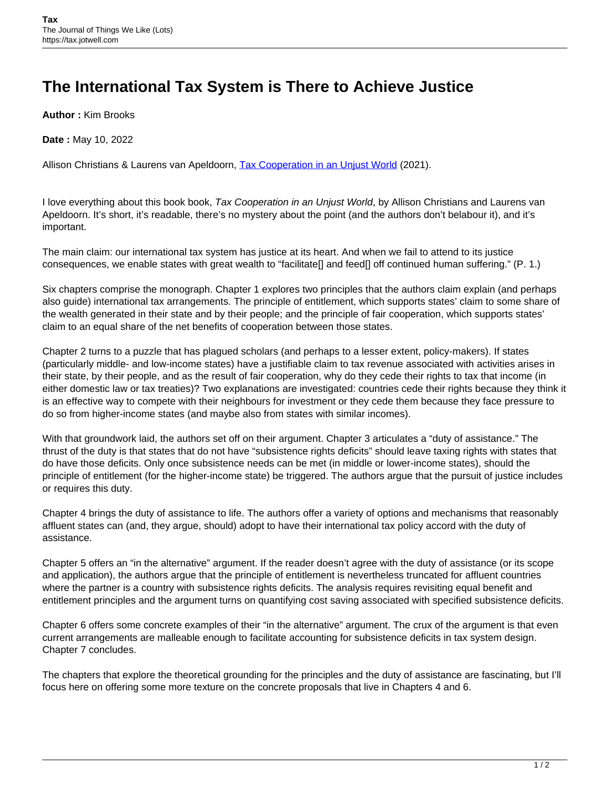## **The International Tax System is There to Achieve Justice**

**Author :** Kim Brooks

**Date :** May 10, 2022

Allison Christians & Laurens van Apeldoorn, [Tax Cooperation in an Unjust World](https://global.oup.com/academic/product/tax-cooperation-in-an-unjust-world-9780192848673?lang=en&cc=ar) (2021).

I love everything about this book book, Tax Cooperation in an Unjust World, by Allison Christians and Laurens van Apeldoorn. It's short, it's readable, there's no mystery about the point (and the authors don't belabour it), and it's important.

The main claim: our international tax system has justice at its heart. And when we fail to attend to its justice consequences, we enable states with great wealth to "facilitate[] and feed[] off continued human suffering." (P. 1.)

Six chapters comprise the monograph. Chapter 1 explores two principles that the authors claim explain (and perhaps also guide) international tax arrangements. The principle of entitlement, which supports states' claim to some share of the wealth generated in their state and by their people; and the principle of fair cooperation, which supports states' claim to an equal share of the net benefits of cooperation between those states.

Chapter 2 turns to a puzzle that has plagued scholars (and perhaps to a lesser extent, policy-makers). If states (particularly middle- and low-income states) have a justifiable claim to tax revenue associated with activities arises in their state, by their people, and as the result of fair cooperation, why do they cede their rights to tax that income (in either domestic law or tax treaties)? Two explanations are investigated: countries cede their rights because they think it is an effective way to compete with their neighbours for investment or they cede them because they face pressure to do so from higher-income states (and maybe also from states with similar incomes).

With that groundwork laid, the authors set off on their argument. Chapter 3 articulates a "duty of assistance." The thrust of the duty is that states that do not have "subsistence rights deficits" should leave taxing rights with states that do have those deficits. Only once subsistence needs can be met (in middle or lower-income states), should the principle of entitlement (for the higher-income state) be triggered. The authors argue that the pursuit of justice includes or requires this duty.

Chapter 4 brings the duty of assistance to life. The authors offer a variety of options and mechanisms that reasonably affluent states can (and, they argue, should) adopt to have their international tax policy accord with the duty of assistance.

Chapter 5 offers an "in the alternative" argument. If the reader doesn't agree with the duty of assistance (or its scope and application), the authors argue that the principle of entitlement is nevertheless truncated for affluent countries where the partner is a country with subsistence rights deficits. The analysis requires revisiting equal benefit and entitlement principles and the argument turns on quantifying cost saving associated with specified subsistence deficits.

Chapter 6 offers some concrete examples of their "in the alternative" argument. The crux of the argument is that even current arrangements are malleable enough to facilitate accounting for subsistence deficits in tax system design. Chapter 7 concludes.

The chapters that explore the theoretical grounding for the principles and the duty of assistance are fascinating, but I'll focus here on offering some more texture on the concrete proposals that live in Chapters 4 and 6.